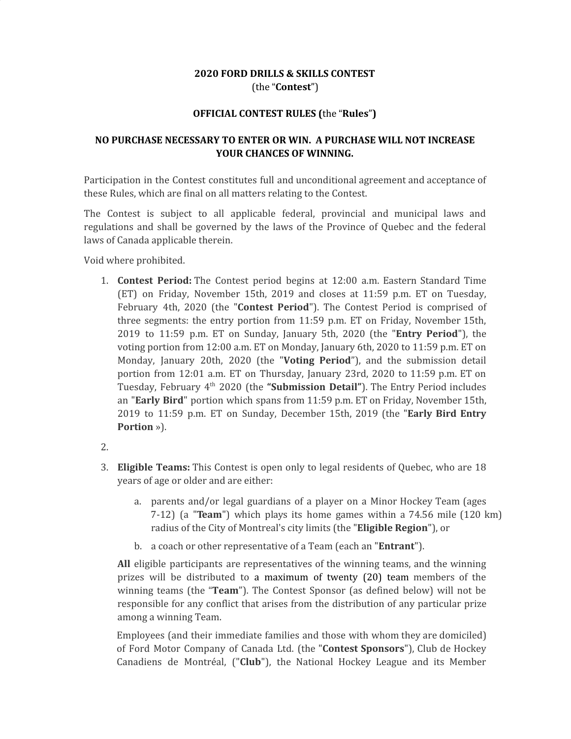# **2020 FORD DRILLS & SKILLS CONTEST** (the "**Contest**")

#### **OFFICIAL CONTEST RULES (**the "**Rules**"**)**

# **NO PURCHASE NECESSARY TO ENTER OR WIN. A PURCHASE WILL NOT INCREASE YOUR CHANCES OF WINNING.**

Participation in the Contest constitutes full and unconditional agreement and acceptance of these Rules, which are final on all matters relating to the Contest.

The Contest is subject to all applicable federal, provincial and municipal laws and regulations and shall be governed by the laws of the Province of Quebec and the federal laws of Canada applicable therein.

Void where prohibited.

- 1. **Contest Period:** The Contest period begins at 12:00 a.m. Eastern Standard Time (ET) on Friday, November 15th, 2019 and closes at 11:59 p.m. ET on Tuesday, February 4th, 2020 (the "**Contest Period**"). The Contest Period is comprised of three segments: the entry portion from 11:59 p.m. ET on Friday, November 15th, 2019 to 11:59 p.m. ET on Sunday, January 5th, 2020 (the "**Entry Period**"), the voting portion from 12:00 a.m. ET on Monday, January 6th, 2020 to 11:59 p.m. ET on Monday, January 20th, 2020 (the "**Voting Period**"), and the submission detail portion from 12:01 a.m. ET on Thursday, January 23rd, 2020 to 11:59 p.m. ET on Tuesday, February 4 th 2020 (the **"Submission Detail"**). The Entry Period includes an "**Early Bird**" portion which spans from 11:59 p.m. ET on Friday, November 15th, 2019 to 11:59 p.m. ET on Sunday, December 15th, 2019 (the "**Early Bird Entry Portion** »).
- 2.
- 3. **Eligible Teams:** This Contest is open only to legal residents of Quebec, who are 18 years of age or older and are either:
	- a. parents and/or legal guardians of a player on a Minor Hockey Team (ages radius of the City of Montreal's city limits (the "**Eligible Region**"), or 7-12) (a "**Team**") which plays its home games within a 74.56 mile (120 km)
	- b. a coach or other representative of a Team (each an "**Entrant**").

**All** eligible participants are representatives of the winning teams, and the winning prizes will be distributed to a maximum of twenty (20) team members of the winning teams (the "**Team**"). The Contest Sponsor (as defined below) will not be responsible for any conflict that arises from the distribution of any particular prize among a winning Team.

Employees (and their immediate families and those with whom they are domiciled) of Ford Motor Company of Canada Ltd. (the "**Contest Sponsors**"), Club de Hockey Canadiens de Montréal, ("**Club**"), the National Hockey League and its Member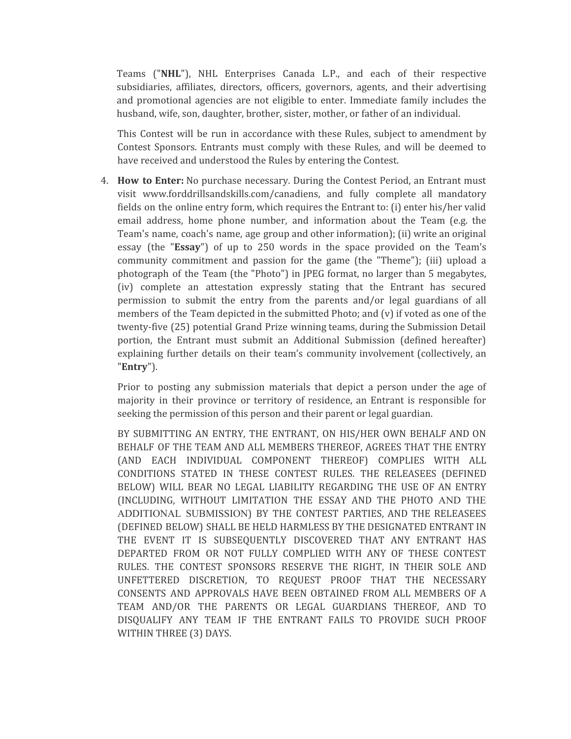Teams ("**NHL**"), NHL Enterprises Canada L.P., and each of their respective subsidiaries, affiliates, directors, officers, governors, agents, and their advertising and promotional agencies are not eligible to enter. Immediate family includes the husband, wife, son, daughter, brother, sister, mother, or father of an individual.

This Contest will be run in accordance with these Rules, subject to amendment by Contest Sponsors. Entrants must comply with these Rules, and will be deemed to have received and understood the Rules by entering the Contest.

4. **How to Enter:** No purchase necessary. During the Contest Period, an Entrant must visit www.forddrillsandskills.com/canadiens, and fully complete all mandatory fields on the online entry form, which requires the Entrant to: (i) enter his/her valid email address, home phone number, and information about the Team (e.g. the Team's name, coach's name, age group and other information); (ii) write an original essay (the "**Essay**") of up to 250 words in the space provided on the Team's community commitment and passion for the game (the "Theme"); (iii) upload a photograph of the Team (the "Photo") in JPEG format, no larger than 5 megabytes, (iv) complete an attestation expressly stating that the Entrant has secured permission to submit the entry from the parents and/or legal guardians of all members of the Team depicted in the submitted Photo; and (v) if voted as one of the twenty-five (25) potential Grand Prize winning teams, during the Submission Detail portion, the Entrant must submit an Additional Submission (defined hereafter) explaining further details on their team's community involvement (collectively, an "**Entry**").

Prior to posting any submission materials that depict a person under the age of majority in their province or territory of residence, an Entrant is responsible for seeking the permission of this person and their parent or legal guardian.

BY SUBMITTING AN ENTRY, THE ENTRANT, ON HIS/HER OWN BEHALF AND ON BEHALF OF THE TEAM AND ALL MEMBERS THEREOF, AGREES THAT THE ENTRY (AND EACH INDIVIDUAL COMPONENT THEREOF) COMPLIES WITH ALL CONDITIONS STATED IN THESE CONTEST RULES. THE RELEASEES (DEFINED BELOW) WILL BEAR NO LEGAL LIABILITY REGARDING THE USE OF AN ENTRY (INCLUDING, WITHOUT LIMITATION THE ESSAY AND THE PHOTO AND THE ADDITIONAL SUBMISSION) BY THE CONTEST PARTIES, AND THE RELEASEES (DEFINED BELOW) SHALL BE HELD HARMLESS BY THE DESIGNATED ENTRANT IN THE EVENT IT IS SUBSEQUENTLY DISCOVERED THAT ANY ENTRANT HAS DEPARTED FROM OR NOT FULLY COMPLIED WITH ANY OF THESE CONTEST RULES. THE CONTEST SPONSORS RESERVE THE RIGHT, IN THEIR SOLE AND UNFETTERED DISCRETION, TO REQUEST PROOF THAT THE NECESSARY CONSENTS AND APPROVALS HAVE BEEN OBTAINED FROM ALL MEMBERS OF A TEAM AND/OR THE PARENTS OR LEGAL GUARDIANS THEREOF, AND TO DISQUALIFY ANY TEAM IF THE ENTRANT FAILS TO PROVIDE SUCH PROOF WITHIN THREE (3) DAYS.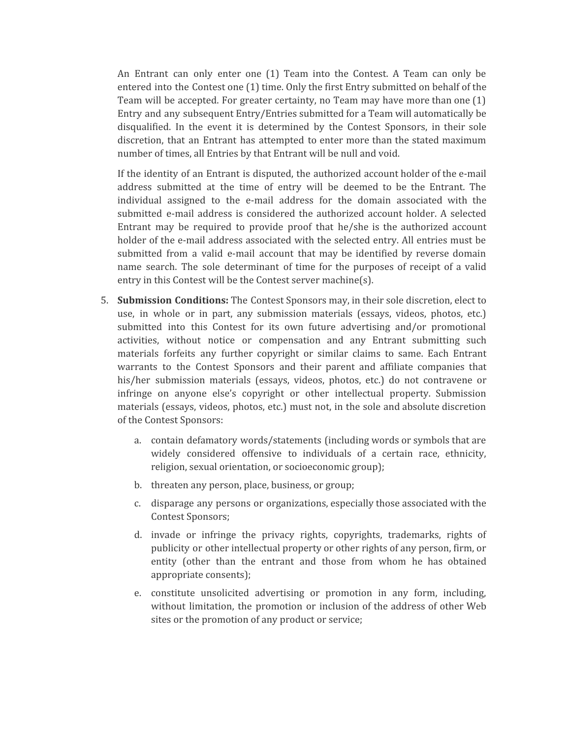An Entrant can only enter one (1) Team into the Contest. A Team can only be entered into the Contest one (1) time. Only the first Entry submitted on behalf of the Team will be accepted. For greater certainty, no Team may have more than one (1) Entry and any subsequent Entry/Entries submitted for a Team will automatically be disqualified. In the event it is determined by the Contest Sponsors, in their sole discretion, that an Entrant has attempted to enter more than the stated maximum number of times, all Entries by that Entrant will be null and void.

If the identity of an Entrant is disputed, the authorized account holder of the e-mail address submitted at the time of entry will be deemed to be the Entrant. The individual assigned to the e-mail address for the domain associated with the submitted e-mail address is considered the authorized account holder. A selected Entrant may be required to provide proof that he/she is the authorized account holder of the e-mail address associated with the selected entry. All entries must be submitted from a valid e-mail account that may be identified by reverse domain name search. The sole determinant of time for the purposes of receipt of a valid entry in this Contest will be the Contest server machine(s).

- 5. **Submission Conditions:** The Contest Sponsors may, in their sole discretion, elect to use, in whole or in part, any submission materials (essays, videos, photos, etc.) submitted into this Contest for its own future advertising and/or promotional activities, without notice or compensation and any Entrant submitting such materials forfeits any further copyright or similar claims to same. Each Entrant warrants to the Contest Sponsors and their parent and affiliate companies that his/her submission materials (essays, videos, photos, etc.) do not contravene or infringe on anyone else's copyright or other intellectual property. Submission materials (essays, videos, photos, etc.) must not, in the sole and absolute discretion of the Contest Sponsors:
	- a. contain defamatory words/statements (including words or symbols that are widely considered offensive to individuals of a certain race, ethnicity, religion, sexual orientation, or socioeconomic group);
	- b. threaten any person, place, business, or group;
	- c. disparage any persons or organizations, especially those associated with the Contest Sponsors;
	- d. invade or infringe the privacy rights, copyrights, trademarks, rights of publicity or other intellectual property or other rights of any person, firm, or entity (other than the entrant and those from whom he has obtained appropriate consents);
	- e. constitute unsolicited advertising or promotion in any form, including, without limitation, the promotion or inclusion of the address of other Web sites or the promotion of any product or service;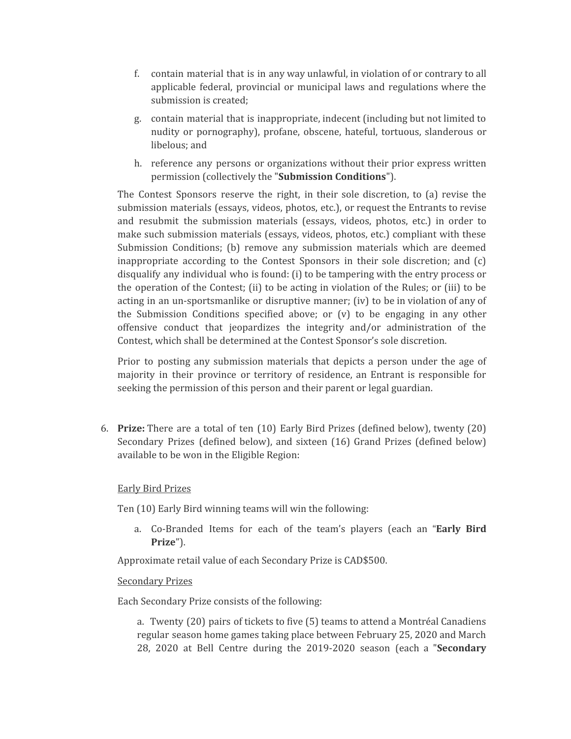- f. contain material that is in any way unlawful, in violation of or contrary to all applicable federal, provincial or municipal laws and regulations where the submission is created;
- g. contain material that is inappropriate, indecent (including but not limited to nudity or pornography), profane, obscene, hateful, tortuous, slanderous or libelous; and
- h. reference any persons or organizations without their prior express written permission (collectively the "**Submission Conditions**").

The Contest Sponsors reserve the right, in their sole discretion, to (a) revise the submission materials (essays, videos, photos, etc.), or request the Entrants to revise and resubmit the submission materials (essays, videos, photos, etc.) in order to make such submission materials (essays, videos, photos, etc.) compliant with these Submission Conditions; (b) remove any submission materials which are deemed inappropriate according to the Contest Sponsors in their sole discretion; and (c) disqualify any individual who is found: (i) to be tampering with the entry process or the operation of the Contest; (ii) to be acting in violation of the Rules; or (iii) to be acting in an un-sportsmanlike or disruptive manner; (iv) to be in violation of any of the Submission Conditions specified above; or  $(v)$  to be engaging in any other offensive conduct that jeopardizes the integrity and/or administration of the Contest, which shall be determined at the Contest Sponsor's sole discretion.

Prior to posting any submission materials that depicts a person under the age of majority in their province or territory of residence, an Entrant is responsible for seeking the permission of this person and their parent or legal guardian.

6. **Prize:** There are a total of ten (10) Early Bird Prizes (defined below), twenty (20) Secondary Prizes (defined below), and sixteen (16) Grand Prizes (defined below) available to be won in the Eligible Region:

#### Early Bird Prizes

Ten (10) Early Bird winning teams will win the following:

a. Co-Branded Items for each of the team's players (each an "**Early Bird Prize**").

Approximate retail value of each Secondary Prize is CAD\$500.

#### Secondary Prizes

Each Secondary Prize consists of the following:

a. Twenty (20) pairs of tickets to five (5) teams to attend a Montréal Canadiens regular season home games taking place between February 25, 2020 and March 28, 2020 at Bell Centre during the 2019-2020 season (each a "**Secondary**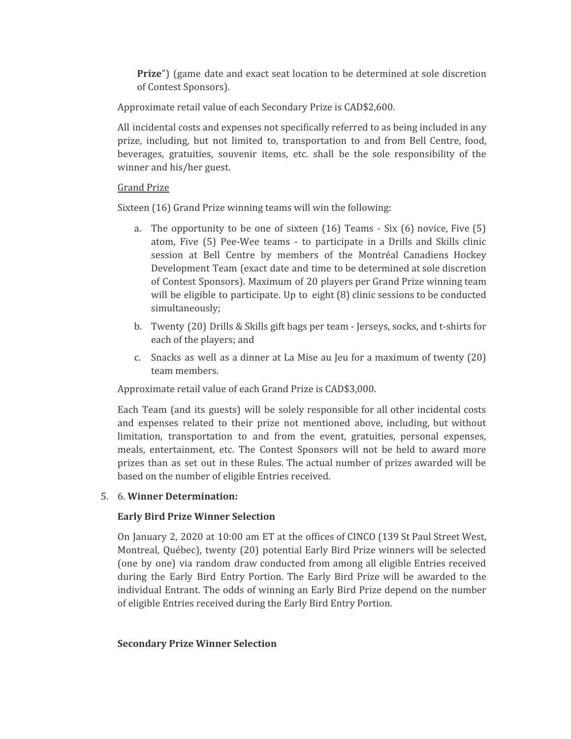**Prize**") (game date and exact seat location to be determined at sole discretion of Contest Sponsors).

Approximate retail value of each Secondary Prize is CAD\$2,600.

All incidental costs and expenses not specifically referred to as being included in any prize, including, but not limited to, transportation to and from Bell Centre, food, beverages, gratuities, souvenir items, etc. shall be the sole responsibility of the winner and his/her guest.

### Grand Prize

Sixteen (16) Grand Prize winning teams will win the following:

- a. The opportunity to be one of sixteen (16) Teams Six (6) novice, Five (5) atom, Five (5) Pee-Wee teams - to participate in a Drills and Skills clinic session at Bell Centre by members of the Montréal Canadiens Hockey Development Team (exact date and time to be determined at sole discretion of Contest Sponsors). Maximum of 20 players per Grand Prize winning team will be eligible to participate. Up to eight  $(8)$  clinic sessions to be conducted simultaneously;
- b. Twenty (20) Drills & Skills gift bags per team Jerseys, socks, and t-shirts for each of the players; and
- c. Snacks as well as a dinner at La Mise au Jeu for a maximum of twenty (20) team members.

Approximate retail value of each Grand Prize is CAD\$3,000.

Each Team (and its guests) will be solely responsible for all other incidental costs and expenses related to their prize not mentioned above, including, but without limitation, transportation to and from the event, gratuities, personal expenses, meals, entertainment, etc. The Contest Sponsors will not be held to award more prizes than as set out in these Rules. The actual number of prizes awarded will be based on the number of eligible Entries received.

# 5. 6. **Winner Determination:**

# **Early Bird Prize Winner Selection**

On January 2, 2020 at 10:00 am ET at the offices of CINCO (139 St Paul Street West, Montreal, Québec), twenty (20) potential Early Bird Prize winners will be selected (one by one) via random draw conducted from among all eligible Entries received during the Early Bird Entry Portion. The Early Bird Prize will be awarded to the individual Entrant. The odds of winning an Early Bird Prize depend on the number of eligible Entries received during the Early Bird Entry Portion.

# **Secondary Prize Winner Selection**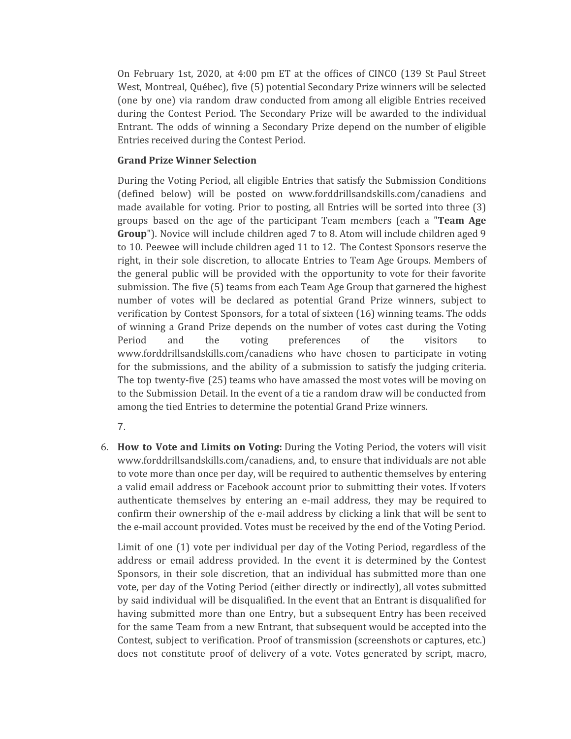On February 1st, 2020, at 4:00 pm ET at the offices of CINCO (139 St Paul Street West, Montreal, Québec), five (5) potential Secondary Prize winners will be selected (one by one) via random draw conducted from among all eligible Entries received during the Contest Period. The Secondary Prize will be awarded to the individual Entrant. The odds of winning a Secondary Prize depend on the number of eligible Entries received during the Contest Period.

### **Grand Prize Winner Selection**

During the Voting Period, all eligible Entries that satisfy the Submission Conditions (defined below) will be posted on www.forddrillsandskills.com/canadiens and made available for voting. Prior to posting, all Entries will be sorted into three (3) groups based on the age of the participant Team members (each a "**Team Age Group**"). Novice will include children aged 7 to 8. Atom will include children aged 9 to 10. Peewee will include children aged 11 to 12. The Contest Sponsors reserve the right, in their sole discretion, to allocate Entries to Team Age Groups. Members of the general public will be provided with the opportunity to vote for their favorite submission. The five (5) teams from each Team Age Group that garnered the highest number of votes will be declared as potential Grand Prize winners, subject to verification by Contest Sponsors, for a total of sixteen (16) winning teams. The odds of winning a Grand Prize depends on the number of votes cast during the Voting Period and the voting preferences of the visitors to www.forddrillsandskills.com/canadiens who have chosen to participate in voting for the submissions, and the ability of a submission to satisfy the judging criteria. The top twenty-five (25) teams who have amassed the most votes will be moving on to the Submission Detail. In the event of a tie a random draw will be conducted from among the tied Entries to determine the potential Grand Prize winners.

7.

6. **How to Vote and Limits on Voting:** During the Voting Period, the voters will visit www.forddrillsandskills.com/canadiens, and, to ensure that individuals are not able to vote more than once per day, will be required to authentic themselves by entering a valid email address or Facebook account prior to submitting their votes. If voters authenticate themselves by entering an e-mail address, they may be required to confirm their ownership of the e-mail address by clicking a link that will be sent to the e-mail account provided. Votes must be received by the end of the Voting Period.

Limit of one (1) vote per individual per day of the Voting Period, regardless of the address or email address provided. In the event it is determined by the Contest Sponsors, in their sole discretion, that an individual has submitted more than one vote, per day of the Voting Period (either directly or indirectly), all votes submitted by said individual will be disqualified. In the event that an Entrant is disqualified for having submitted more than one Entry, but a subsequent Entry has been received for the same Team from a new Entrant, that subsequent would be accepted into the Contest, subject to verification. Proof of transmission (screenshots or captures, etc.) does not constitute proof of delivery of a vote. Votes generated by script, macro,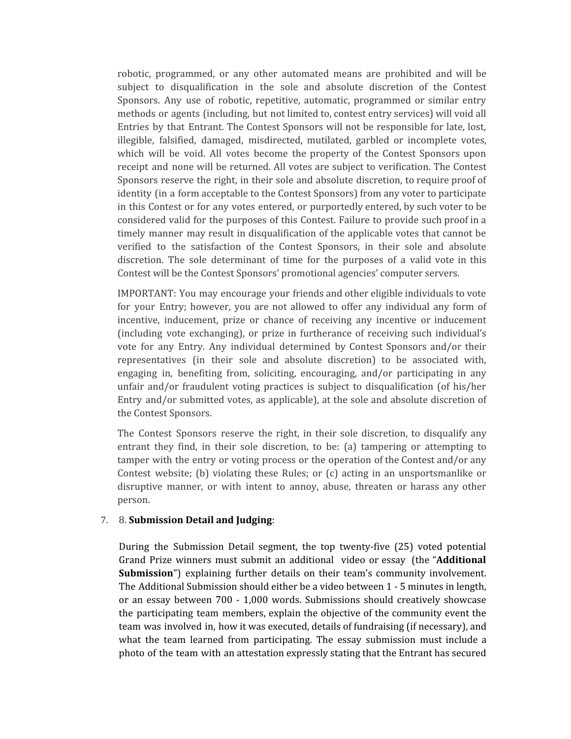robotic, programmed, or any other automated means are prohibited and will be subject to disqualification in the sole and absolute discretion of the Contest Sponsors. Any use of robotic, repetitive, automatic, programmed or similar entry methods or agents (including, but not limited to, contest entry services) will void all Entries by that Entrant. The Contest Sponsors will not be responsible for late, lost, illegible, falsified, damaged, misdirected, mutilated, garbled or incomplete votes, which will be void. All votes become the property of the Contest Sponsors upon receipt and none will be returned. All votes are subject to verification. The Contest Sponsors reserve the right, in their sole and absolute discretion, to require proof of identity (in a form acceptable to the Contest Sponsors) from any voter to participate in this Contest or for any votes entered, or purportedly entered, by such voter to be considered valid for the purposes of this Contest. Failure to provide such proof in a timely manner may result in disqualification of the applicable votes that cannot be verified to the satisfaction of the Contest Sponsors, in their sole and absolute discretion. The sole determinant of time for the purposes of a valid vote in this Contest will be the Contest Sponsors' promotional agencies' computer servers.

IMPORTANT: You may encourage your friends and other eligible individuals to vote for your Entry; however, you are not allowed to offer any individual any form of incentive, inducement, prize or chance of receiving any incentive or inducement (including vote exchanging), or prize in furtherance of receiving such individual's vote for any Entry. Any individual determined by Contest Sponsors and/or their representatives (in their sole and absolute discretion) to be associated with, engaging in, benefiting from, soliciting, encouraging, and/or participating in any unfair and/or fraudulent voting practices is subject to disqualification (of his/her Entry and/or submitted votes, as applicable), at the sole and absolute discretion of the Contest Sponsors.

The Contest Sponsors reserve the right, in their sole discretion, to disqualify any entrant they find, in their sole discretion, to be: (a) tampering or attempting to tamper with the entry or voting process or the operation of the Contest and/or any Contest website; (b) violating these Rules; or (c) acting in an unsportsmanlike or disruptive manner, or with intent to annoy, abuse, threaten or harass any other person.

#### 7. 8. **Submission Detail and Judging**:

During the Submission Detail segment, the top twenty-five (25) voted potential Grand Prize winners must submit an additional video or essay (the "**Additional Submission**") explaining further details on their team's community involvement. The Additional Submission should either be a video between 1 - 5 minutes in length, or an essay between 700 - 1,000 words. Submissions should creatively showcase the participating team members, explain the objective of the community event the team was involved in, how it was executed, details of fundraising (if necessary), and what the team learned from participating. The essay submission must include a photo of the team with an attestation expressly stating that the Entrant has secured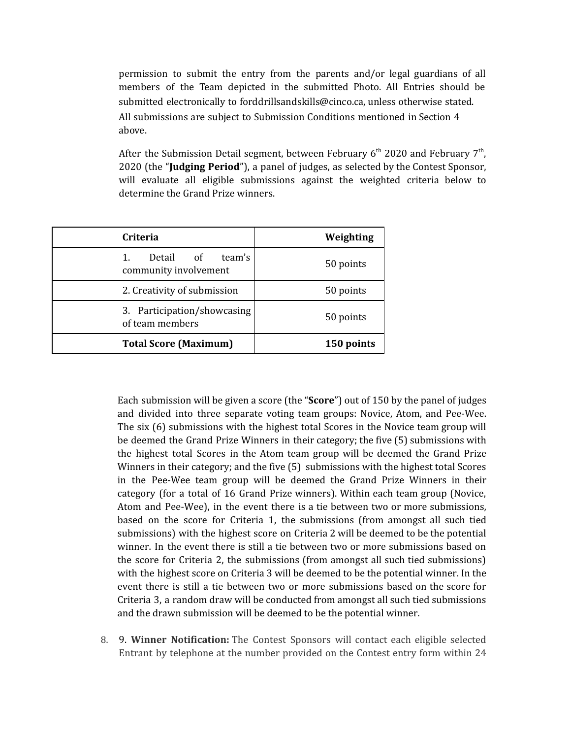permission to submit the entry from the parents and/or legal guardians of all members of the Team depicted in the submitted Photo. All Entries should be submitted electronically to forddrillsandskills@cinco.ca, unless otherwise stated. All submissions are subject to Submission Conditions mentioned in Section 4 above.

After the Submission Detail segment, between February  $6^{\text{th}}$  2020 and February 7<sup>th</sup>, 2020 (the "**Judging Period**"), a panel of judges, as selected by the Contest Sponsor, will evaluate all eligible submissions against the weighted criteria below to determine the Grand Prize winners.

| <b>Criteria</b>                                    | Weighting  |
|----------------------------------------------------|------------|
| team's<br>Detail of<br>1.<br>community involvement | 50 points  |
| 2. Creativity of submission                        | 50 points  |
| 3. Participation/showcasing<br>of team members     | 50 points  |
| <b>Total Score (Maximum)</b>                       | 150 points |

Each submission will be given a score (the "**Score**") out of 150 by the panel of judges and divided into three separate voting team groups: Novice, Atom, and Pee-Wee. The six (6) submissions with the highest total Scores in the Novice team group will be deemed the Grand Prize Winners in their category; the five (5) submissions with the highest total Scores in the Atom team group will be deemed the Grand Prize Winners in their category; and the five (5) submissions with the highest total Scores in the Pee-Wee team group will be deemed the Grand Prize Winners in their category (for a total of 16 Grand Prize winners). Within each team group (Novice, Atom and Pee-Wee), in the event there is a tie between two or more submissions, based on the score for Criteria 1, the submissions (from amongst all such tied submissions) with the highest score on Criteria 2 will be deemed to be the potential winner. In the event there is still a tie between two or more submissions based on the score for Criteria 2, the submissions (from amongst all such tied submissions) with the highest score on Criteria 3 will be deemed to be the potential winner. In the event there is still a tie between two or more submissions based on the score for Criteria 3, a random draw will be conducted from amongst all such tied submissions and the drawn submission will be deemed to be the potential winner.

8. 9. **Winner Notification:** The Contest Sponsors will contact each eligible selected Entrant by telephone at the number provided on the Contest entry form within 24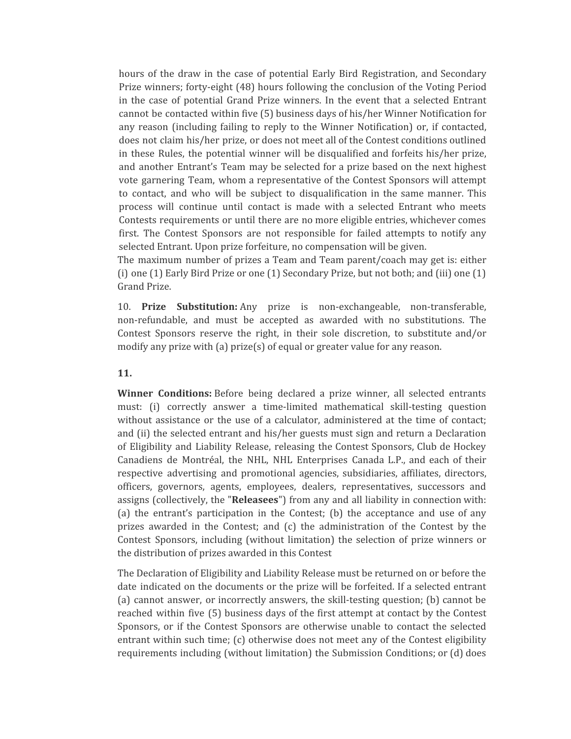hours of the draw in the case of potential Early Bird Registration, and Secondary Prize winners; forty-eight (48) hours following the conclusion of the Voting Period in the case of potential Grand Prize winners. In the event that a selected Entrant cannot be contacted within five (5) business days of his/her Winner Notification for any reason (including failing to reply to the Winner Notification) or, if contacted, does not claim his/her prize, or does not meet all of the Contest conditions outlined in these Rules, the potential winner will be disqualified and forfeits his/her prize, and another Entrant's Team may be selected for a prize based on the next highest vote garnering Team, whom a representative of the Contest Sponsors will attempt to contact, and who will be subject to disqualification in the same manner. This process will continue until contact is made with a selected Entrant who meets Contests requirements or until there are no more eligible entries, whichever comes first. The Contest Sponsors are not responsible for failed attempts to notify any selected Entrant. Upon prize forfeiture, no compensation will be given.

The maximum number of prizes a Team and Team parent/coach may get is: either (i) one (1) Early Bird Prize or one (1) Secondary Prize, but not both; and (iii) one (1) Grand Prize.

10. **Prize Substitution:** Any prize is non-exchangeable, non-transferable, non-refundable, and must be accepted as awarded with no substitutions. The Contest Sponsors reserve the right, in their sole discretion, to substitute and/or modify any prize with (a) prize(s) of equal or greater value for any reason.

#### **11.**

**Winner Conditions:** Before being declared a prize winner, all selected entrants must: (i) correctly answer a time-limited mathematical skill-testing question without assistance or the use of a calculator, administered at the time of contact; and (ii) the selected entrant and his/her guests must sign and return a Declaration of Eligibility and Liability Release, releasing the Contest Sponsors, Club de Hockey Canadiens de Montréal, the NHL, NHL Enterprises Canada L.P., and each of their respective advertising and promotional agencies, subsidiaries, affiliates, directors, officers, governors, agents, employees, dealers, representatives, successors and assigns (collectively, the "**Releasees**") from any and all liability in connection with: (a) the entrant's participation in the Contest; (b) the acceptance and use of any prizes awarded in the Contest; and (c) the administration of the Contest by the Contest Sponsors, including (without limitation) the selection of prize winners or the distribution of prizes awarded in this Contest

The Declaration of Eligibility and Liability Release must be returned on or before the date indicated on the documents or the prize will be forfeited. If a selected entrant (a) cannot answer, or incorrectly answers, the skill-testing question; (b) cannot be reached within five (5) business days of the first attempt at contact by the Contest Sponsors, or if the Contest Sponsors are otherwise unable to contact the selected entrant within such time; (c) otherwise does not meet any of the Contest eligibility requirements including (without limitation) the Submission Conditions; or (d) does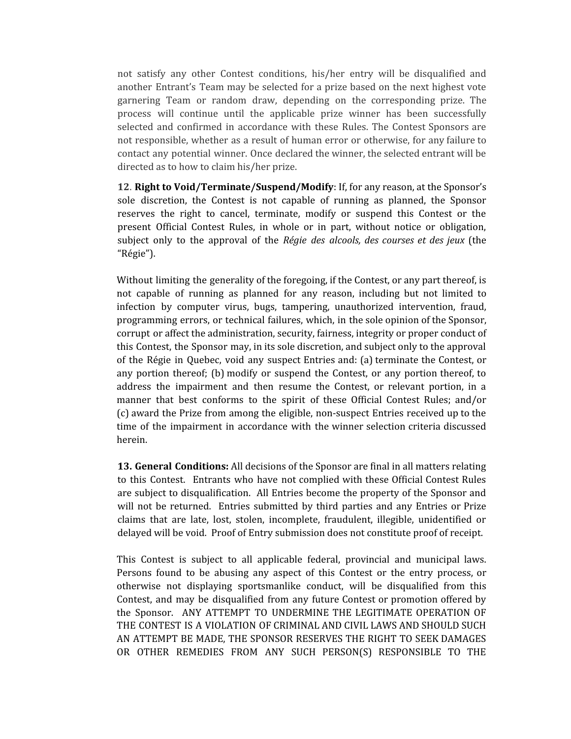not satisfy any other Contest conditions, his/her entry will be disqualified and another Entrant's Team may be selected for a prize based on the next highest vote garnering Team or random draw, depending on the corresponding prize. The process will continue until the applicable prize winner has been successfully selected and confirmed in accordance with these Rules. The Contest Sponsors are not responsible, whether as a result of human error or otherwise, for any failure to contact any potential winner. Once declared the winner, the selected entrant will be directed as to how to claim his/her prize.

**12**. **Right to Void/Terminate/Suspend/Modify**: If, for any reason, at the Sponsor's sole discretion, the Contest is not capable of running as planned, the Sponsor reserves the right to cancel, terminate, modify or suspend this Contest or the present Official Contest Rules, in whole or in part, without notice or obligation, subject only to the approval of the *Régie des alcools, des courses et des jeux* (the "Régie").

Without limiting the generality of the foregoing, if the Contest, or any part thereof, is not capable of running as planned for any reason, including but not limited to infection by computer virus, bugs, tampering, unauthorized intervention, fraud, programming errors, or technical failures, which, in the sole opinion of the Sponsor, corrupt or affect the administration, security, fairness, integrity or proper conduct of this Contest, the Sponsor may, in its sole discretion, and subject only to the approval of the Régie in Quebec, void any suspect Entries and: (a) terminate the Contest, or any portion thereof; (b) modify or suspend the Contest, or any portion thereof, to address the impairment and then resume the Contest, or relevant portion, in a manner that best conforms to the spirit of these Official Contest Rules; and/or (c) award the Prize from among the eligible, non-suspect Entries received up to the time of the impairment in accordance with the winner selection criteria discussed herein.

**13. General Conditions:** All decisions of the Sponsor are final in all matters relating to this Contest. Entrants who have not complied with these Official Contest Rules are subject to disqualification. All Entries become the property of the Sponsor and will not be returned. Entries submitted by third parties and any Entries or Prize claims that are late, lost, stolen, incomplete, fraudulent, illegible, unidentified or delayed will be void. Proof of Entry submission does not constitute proof of receipt.

This Contest is subject to all applicable federal, provincial and municipal laws. Persons found to be abusing any aspect of this Contest or the entry process, or otherwise not displaying sportsmanlike conduct, will be disqualified from this Contest, and may be disqualified from any future Contest or promotion offered by the Sponsor. ANY ATTEMPT TO UNDERMINE THE LEGITIMATE OPERATION OF THE CONTEST IS A VIOLATION OF CRIMINAL AND CIVIL LAWS AND SHOULD SUCH AN ATTEMPT BE MADE, THE SPONSOR RESERVES THE RIGHT TO SEEK DAMAGES OR OTHER REMEDIES FROM ANY SUCH PERSON(S) RESPONSIBLE TO THE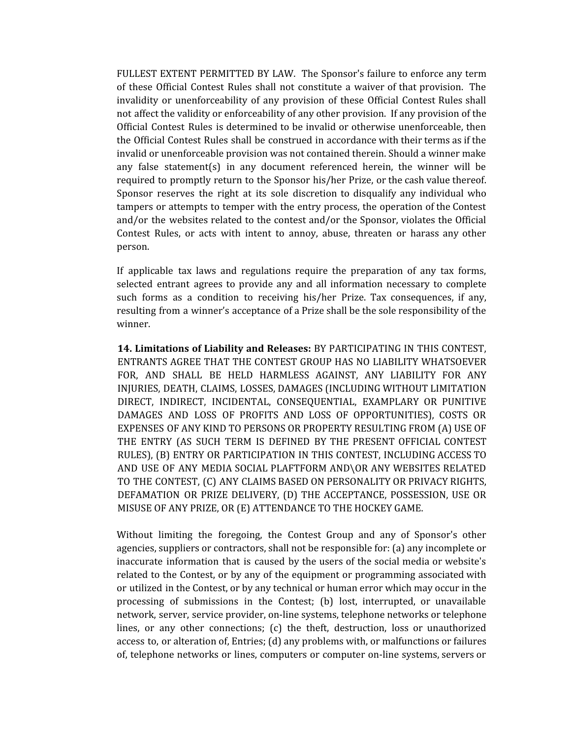FULLEST EXTENT PERMITTED BY LAW. The Sponsor's failure to enforce any term of these Official Contest Rules shall not constitute a waiver of that provision. The invalidity or unenforceability of any provision of these Official Contest Rules shall not affect the validity or enforceability of any other provision. If any provision of the Official Contest Rules is determined to be invalid or otherwise unenforceable, then the Official Contest Rules shall be construed in accordance with their terms as if the invalid or unenforceable provision was not contained therein. Should a winner make any false statement(s) in any document referenced herein, the winner will be required to promptly return to the Sponsor his/her Prize, or the cash value thereof. Sponsor reserves the right at its sole discretion to disqualify any individual who tampers or attempts to temper with the entry process, the operation of the Contest and/or the websites related to the contest and/or the Sponsor, violates the Official Contest Rules, or acts with intent to annoy, abuse, threaten or harass any other person.

If applicable tax laws and regulations require the preparation of any tax forms, selected entrant agrees to provide any and all information necessary to complete such forms as a condition to receiving his/her Prize. Tax consequences, if any, resulting from a winner's acceptance of a Prize shall be the sole responsibility of the winner.

**14. Limitations of Liability and Releases:** BY PARTICIPATING IN THIS CONTEST, ENTRANTS AGREE THAT THE CONTEST GROUP HAS NO LIABILITY WHATSOEVER FOR, AND SHALL BE HELD HARMLESS AGAINST, ANY LIABILITY FOR ANY INJURIES, DEATH, CLAIMS, LOSSES, DAMAGES (INCLUDING WITHOUT LIMITATION DIRECT, INDIRECT, INCIDENTAL, CONSEQUENTIAL, EXAMPLARY OR PUNITIVE DAMAGES AND LOSS OF PROFITS AND LOSS OF OPPORTUNITIES), COSTS OR EXPENSES OF ANY KIND TO PERSONS OR PROPERTY RESULTING FROM (A) USE OF THE ENTRY (AS SUCH TERM IS DEFINED BY THE PRESENT OFFICIAL CONTEST RULES), (B) ENTRY OR PARTICIPATION IN THIS CONTEST, INCLUDING ACCESS TO AND USE OF ANY MEDIA SOCIAL PLAFTFORM AND\OR ANY WEBSITES RELATED TO THE CONTEST, (C) ANY CLAIMS BASED ON PERSONALITY OR PRIVACY RIGHTS, DEFAMATION OR PRIZE DELIVERY, (D) THE ACCEPTANCE, POSSESSION, USE OR MISUSE OF ANY PRIZE, OR (E) ATTENDANCE TO THE HOCKEY GAME.

Without limiting the foregoing, the Contest Group and any of Sponsor's other agencies, suppliers or contractors, shall not be responsible for: (a) any incomplete or inaccurate information that is caused by the users of the social media or website's related to the Contest, or by any of the equipment or programming associated with or utilized in the Contest, or by any technical or human error which may occur in the processing of submissions in the Contest; (b) lost, interrupted, or unavailable network, server, service provider, on-line systems, telephone networks or telephone lines, or any other connections; (c) the theft, destruction, loss or unauthorized access to, or alteration of, Entries; (d) any problems with, or malfunctions or failures of, telephone networks or lines, computers or computer on-line systems, servers or